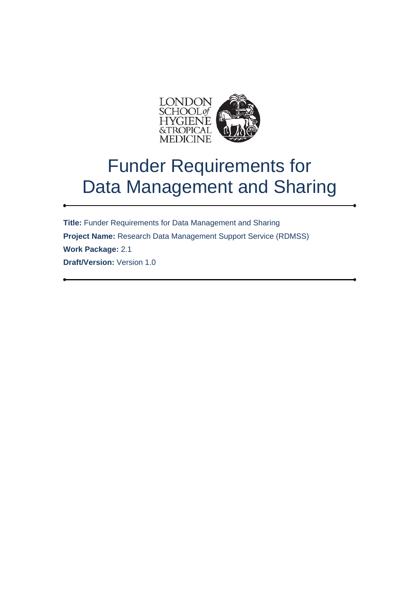

**Title:** Funder Requirements for Data Management and Sharing **Project Name:** Research Data Management Support Service (RDMSS) **Work Package:** 2.1 **Draft/Version:** Version 1.0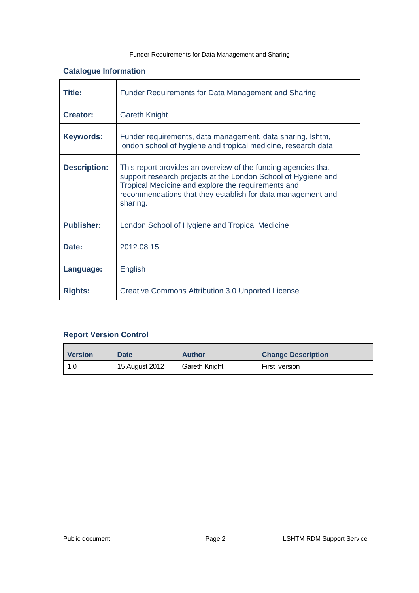# **Catalogue Information**

| Title:              | Funder Requirements for Data Management and Sharing                                                                                                                                                                                                             |  |  |
|---------------------|-----------------------------------------------------------------------------------------------------------------------------------------------------------------------------------------------------------------------------------------------------------------|--|--|
| <b>Creator:</b>     | <b>Gareth Knight</b>                                                                                                                                                                                                                                            |  |  |
| <b>Keywords:</b>    | Funder requirements, data management, data sharing, Ishtm,<br>london school of hygiene and tropical medicine, research data                                                                                                                                     |  |  |
| <b>Description:</b> | This report provides an overview of the funding agencies that<br>support research projects at the London School of Hygiene and<br>Tropical Medicine and explore the requirements and<br>recommendations that they establish for data management and<br>sharing. |  |  |
| <b>Publisher:</b>   | London School of Hygiene and Tropical Medicine                                                                                                                                                                                                                  |  |  |
| Date:               | 2012.08.15                                                                                                                                                                                                                                                      |  |  |
| Language:           | English                                                                                                                                                                                                                                                         |  |  |
| <b>Rights:</b>      | <b>Creative Commons Attribution 3.0 Unported License</b>                                                                                                                                                                                                        |  |  |

# **Report Version Control**

| <b>Version</b> | <b>Date</b>    | <b>Author</b> | <b>Change Description</b> |
|----------------|----------------|---------------|---------------------------|
| 1.0            | 15 August 2012 | Gareth Knight | First version             |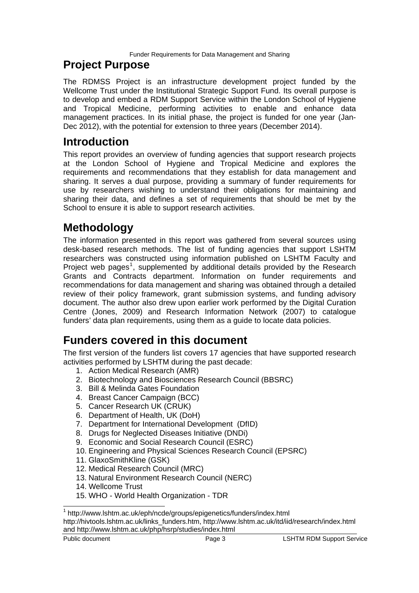# **Project Purpose**

The RDMSS Project is an infrastructure development project funded by the Wellcome Trust under the Institutional Strategic Support Fund. Its overall purpose is to develop and embed a RDM Support Service within the London School of Hygiene and Tropical Medicine, performing activities to enable and enhance data management practices. In its initial phase, the project is funded for one year (Jan-Dec 2012), with the potential for extension to three years (December 2014).

# **Introduction**

This report provides an overview of funding agencies that support research projects at the London School of Hygiene and Tropical Medicine and explores the requirements and recommendations that they establish for data management and sharing. It serves a dual purpose, providing a summary of funder requirements for use by researchers wishing to understand their obligations for maintaining and sharing their data, and defines a set of requirements that should be met by the School to ensure it is able to support research activities.

# **Methodology**

The information presented in this report was gathered from several sources using desk-based research methods. The list of funding agencies that support LSHTM researchers was constructed using information published on LSHTM Faculty and Project web pages<sup>[1](#page-2-0)</sup>, supplemented by additional details provided by the Research Grants and Contracts department. Information on funder requirements and recommendations for data management and sharing was obtained through a detailed review of their policy framework, grant submission systems, and funding advisory document. The author also drew upon earlier work performed by the Digital Curation Centre (Jones, 2009) and Research Information Network (2007) to catalogue funders' data plan requirements, using them as a guide to locate data policies.

# **Funders covered in this document**

The first version of the funders list covers 17 agencies that have supported research activities performed by LSHTM during the past decade:

- 1. Action Medical Research (AMR)
- 2. Biotechnology and Biosciences Research Council (BBSRC)
- 3. Bill & Melinda Gates Foundation
- 4. Breast Cancer Campaign (BCC)
- 5. Cancer Research UK (CRUK)
- 6. Department of Health, UK (DoH)
- 7. Department for International Development (DfID)
- 8. Drugs for Neglected Diseases Initiative (DNDi)
- 9. Economic and Social Research Council (ESRC)
- 10. Engineering and Physical Sciences Research Council (EPSRC)
- 11. GlaxoSmithKline (GSK)
- 12. Medical Research Council (MRC)
- 13. Natural Environment Research Council (NERC)
- 14. Wellcome Trust
- 15. WHO World Health Organization TDR

 $\overline{\phantom{a}}$ 

<span id="page-2-0"></span><sup>1</sup> http://www.lshtm.ac.uk/eph/ncde/groups/epigenetics/funders/index.html http://hivtools.lshtm.ac.uk/links\_funders.htm, http://www.lshtm.ac.uk/itd/iid/research/index.html and http://www.lshtm.ac.uk/php/hsrp/studies/index.html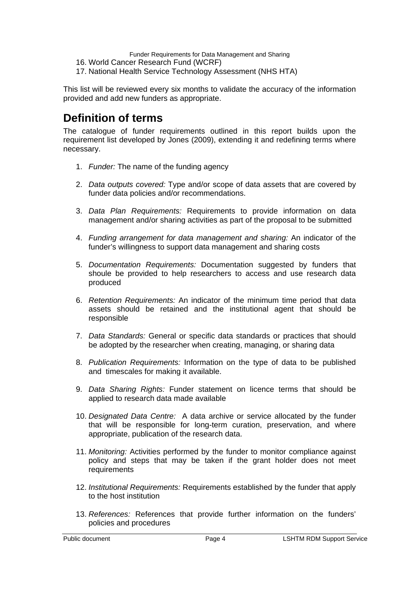- 16. World Cancer Research Fund (WCRF)
- 17. National Health Service Technology Assessment (NHS HTA)

This list will be reviewed every six months to validate the accuracy of the information provided and add new funders as appropriate.

# **Definition of terms**

The catalogue of funder requirements outlined in this report builds upon the requirement list developed by Jones (2009), extending it and redefining terms where necessary.

- 1. *Funder:* The name of the funding agency
- 2. *Data outputs covered:* Type and/or scope of data assets that are covered by funder data policies and/or recommendations.
- 3. *Data Plan Requirements:* Requirements to provide information on data management and/or sharing activities as part of the proposal to be submitted
- 4. *Funding arrangement for data management and sharing:* An indicator of the funder's willingness to support data management and sharing costs
- 5. *Documentation Requirements:* Documentation suggested by funders that shoule be provided to help researchers to access and use research data produced
- 6. *Retention Requirements:* An indicator of the minimum time period that data assets should be retained and the institutional agent that should be responsible
- 7. *Data Standards:* General or specific data standards or practices that should be adopted by the researcher when creating, managing, or sharing data
- 8. *Publication Requirements:* Information on the type of data to be published and timescales for making it available.
- 9. *Data Sharing Rights:* Funder statement on licence terms that should be applied to research data made available
- 10. *Designated Data Centre:* A data archive or service allocated by the funder that will be responsible for long-term curation, preservation, and where appropriate, publication of the research data.
- 11. *Monitoring:* Activities performed by the funder to monitor compliance against policy and steps that may be taken if the grant holder does not meet requirements
- 12. *Institutional Requirements:* Requirements established by the funder that apply to the host institution
- 13. *References:* References that provide further information on the funders' policies and procedures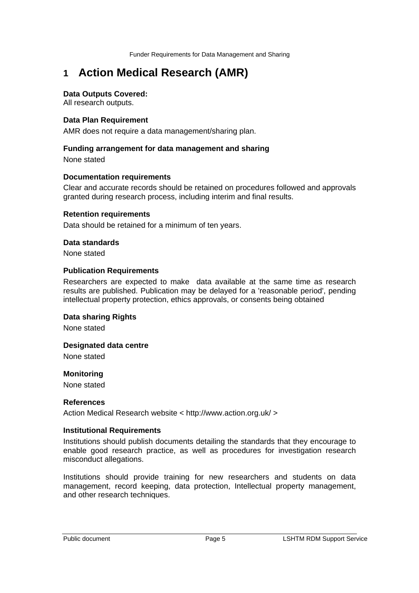# **1 Action Medical Research (AMR)**

#### **Data Outputs Covered:**

All research outputs.

#### **Data Plan Requirement**

AMR does not require a data management/sharing plan.

#### **Funding arrangement for data management and sharing**

None stated

#### **Documentation requirements**

Clear and accurate records should be retained on procedures followed and approvals granted during research process, including interim and final results.

#### **Retention requirements**

Data should be retained for a minimum of ten years.

#### **Data standards**

None stated

#### **Publication Requirements**

Researchers are expected to make data available at the same time as research results are published. Publication may be delayed for a 'reasonable period', pending intellectual property protection, ethics approvals, or consents being obtained

### **Data sharing Rights**

None stated

#### **Designated data centre**

None stated

#### **Monitoring**

None stated

#### **References**

Action Medical Research website < http://www.action.org.uk/ >

#### **Institutional Requirements**

Institutions should publish documents detailing the standards that they encourage to enable good research practice, as well as procedures for investigation research misconduct allegations.

Institutions should provide training for new researchers and students on data management, record keeping, data protection, Intellectual property management, and other research techniques.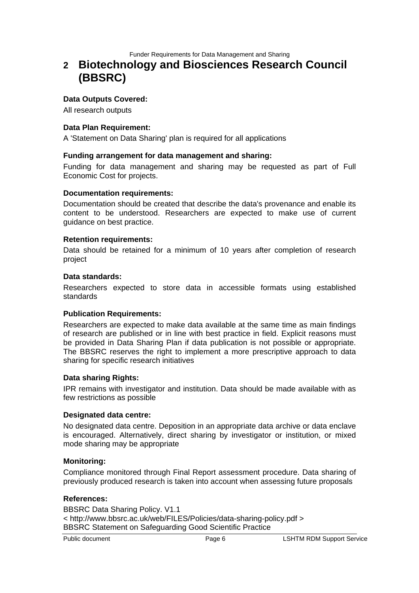# **2 Biotechnology and Biosciences Research Council (BBSRC)**

#### **Data Outputs Covered:**

All research outputs

#### **Data Plan Requirement:**

A 'Statement on Data Sharing' plan is required for all applications

#### **Funding arrangement for data management and sharing:**

Funding for data management and sharing may be requested as part of Full Economic Cost for projects.

#### **Documentation requirements:**

Documentation should be created that describe the data's provenance and enable its content to be understood. Researchers are expected to make use of current guidance on best practice.

#### **Retention requirements:**

Data should be retained for a minimum of 10 years after completion of research project

#### **Data standards:**

Researchers expected to store data in accessible formats using established standards

#### **Publication Requirements:**

Researchers are expected to make data available at the same time as main findings of research are published or in line with best practice in field. Explicit reasons must be provided in Data Sharing Plan if data publication is not possible or appropriate. The BBSRC reserves the right to implement a more prescriptive approach to data sharing for specific research initiatives

#### **Data sharing Rights:**

IPR remains with investigator and institution. Data should be made available with as few restrictions as possible

#### **Designated data centre:**

No designated data centre. Deposition in an appropriate data archive or data enclave is encouraged. Alternatively, direct sharing by investigator or institution, or mixed mode sharing may be appropriate

#### **Monitoring:**

Compliance monitored through Final Report assessment procedure. Data sharing of previously produced research is taken into account when assessing future proposals

#### **References:**

BBSRC Data Sharing Policy. V1.1 < http://www.bbsrc.ac.uk/web/FILES/Policies/data-sharing-policy.pdf > BBSRC Statement on Safeguarding Good Scientific Practice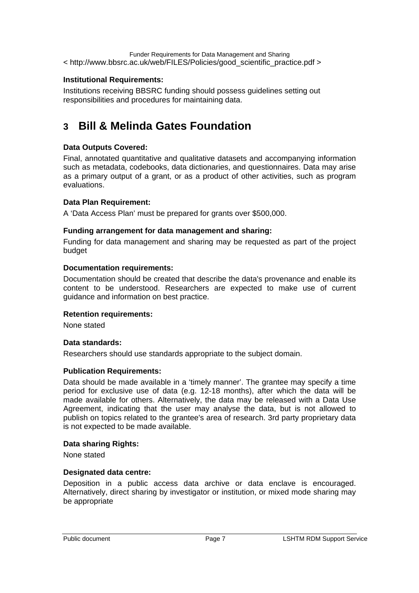Funder Requirements for Data Management and Sharing < http://www.bbsrc.ac.uk/web/FILES/Policies/good\_scientific\_practice.pdf >

# **Institutional Requirements:**

Institutions receiving BBSRC funding should possess guidelines setting out responsibilities and procedures for maintaining data.

# **3 Bill & Melinda Gates Foundation**

# **Data Outputs Covered:**

Final, annotated quantitative and qualitative datasets and accompanying information such as metadata, codebooks, data dictionaries, and questionnaires. Data may arise as a primary output of a grant, or as a product of other activities, such as program evaluations.

# **Data Plan Requirement:**

A 'Data Access Plan' must be prepared for grants over \$500,000.

# **Funding arrangement for data management and sharing:**

Funding for data management and sharing may be requested as part of the project budget

#### **Documentation requirements:**

Documentation should be created that describe the data's provenance and enable its content to be understood. Researchers are expected to make use of current guidance and information on best practice.

# **Retention requirements:**

None stated

# **Data standards:**

Researchers should use standards appropriate to the subject domain.

# **Publication Requirements:**

Data should be made available in a 'timely manner'. The grantee may specify a time period for exclusive use of data (e.g. 12-18 months), after which the data will be made available for others. Alternatively, the data may be released with a Data Use Agreement, indicating that the user may analyse the data, but is not allowed to publish on topics related to the grantee's area of research. 3rd party proprietary data is not expected to be made available.

# **Data sharing Rights:**

None stated

#### **Designated data centre:**

Deposition in a public access data archive or data enclave is encouraged. Alternatively, direct sharing by investigator or institution, or mixed mode sharing may be appropriate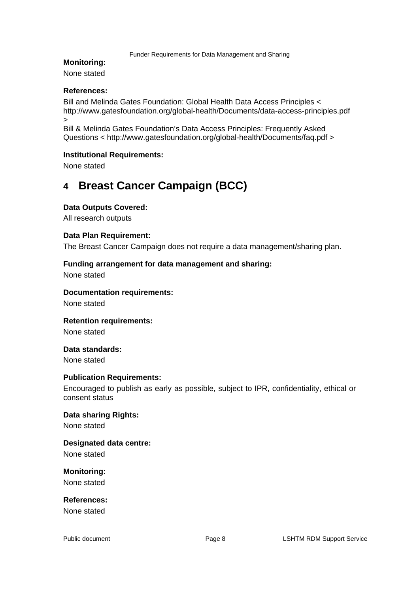#### **Monitoring:**

None stated

#### **References:**

Bill and Melinda Gates Foundation: Global Health Data Access Principles < http://www.gatesfoundation.org/global-health/Documents/data-access-principles.pdf >

Bill & Melinda Gates Foundation's Data Access Principles: Frequently Asked Questions < http://www.gatesfoundation.org/global-health/Documents/faq.pdf >

#### **Institutional Requirements:**

None stated

# **4 Breast Cancer Campaign (BCC)**

#### **Data Outputs Covered:**

All research outputs

#### **Data Plan Requirement:**

The Breast Cancer Campaign does not require a data management/sharing plan.

#### **Funding arrangement for data management and sharing:**

None stated

#### **Documentation requirements:**

None stated

#### **Retention requirements:**

None stated

# **Data standards:**

None stated

#### **Publication Requirements:**

Encouraged to publish as early as possible, subject to IPR, confidentiality, ethical or consent status

# **Data sharing Rights:**

None stated

# **Designated data centre:**

None stated

# **Monitoring:**

None stated

# **References:**

None stated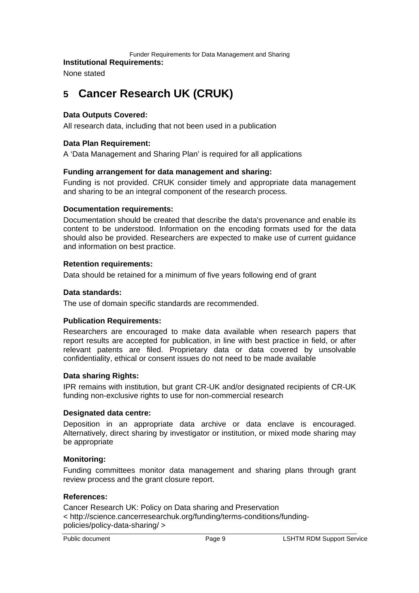#### **Institutional Requirements:**

None stated

# **5 Cancer Research UK (CRUK)**

### **Data Outputs Covered:**

All research data, including that not been used in a publication

### **Data Plan Requirement:**

A 'Data Management and Sharing Plan' is required for all applications

#### **Funding arrangement for data management and sharing:**

Funding is not provided. CRUK consider timely and appropriate data management and sharing to be an integral component of the research process.

#### **Documentation requirements:**

Documentation should be created that describe the data's provenance and enable its content to be understood. Information on the encoding formats used for the data should also be provided. Researchers are expected to make use of current guidance and information on best practice.

#### **Retention requirements:**

Data should be retained for a minimum of five years following end of grant

#### **Data standards:**

The use of domain specific standards are recommended.

#### **Publication Requirements:**

Researchers are encouraged to make data available when research papers that report results are accepted for publication, in line with best practice in field, or after relevant patents are filed. Proprietary data or data covered by unsolvable confidentiality, ethical or consent issues do not need to be made available

# **Data sharing Rights:**

IPR remains with institution, but grant CR-UK and/or designated recipients of CR-UK funding non-exclusive rights to use for non-commercial research

#### **Designated data centre:**

Deposition in an appropriate data archive or data enclave is encouraged. Alternatively, direct sharing by investigator or institution, or mixed mode sharing may be appropriate

#### **Monitoring:**

Funding committees monitor data management and sharing plans through grant review process and the grant closure report.

#### **References:**

Cancer Research UK: Policy on Data sharing and Preservation < http://science.cancerresearchuk.org/funding/terms-conditions/fundingpolicies/policy-data-sharing/ >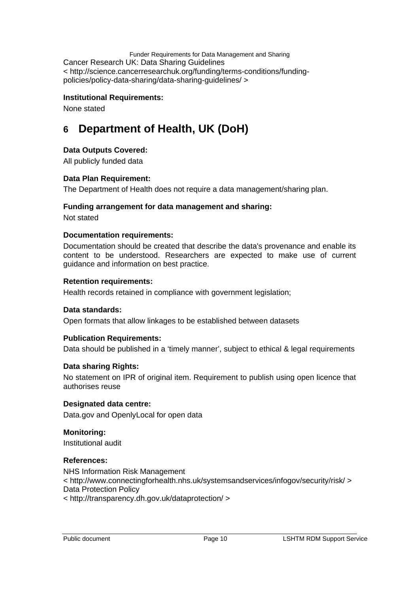Funder Requirements for Data Management and Sharing Cancer Research UK: Data Sharing Guidelines < http://science.cancerresearchuk.org/funding/terms-conditions/fundingpolicies/policy-data-sharing/data-sharing-guidelines/ >

#### **Institutional Requirements:**

None stated

# **6 Department of Health, UK (DoH)**

#### **Data Outputs Covered:**

All publicly funded data

#### **Data Plan Requirement:**

The Department of Health does not require a data management/sharing plan.

#### **Funding arrangement for data management and sharing:**

Not stated

#### **Documentation requirements:**

Documentation should be created that describe the data's provenance and enable its content to be understood. Researchers are expected to make use of current guidance and information on best practice.

#### **Retention requirements:**

Health records retained in compliance with government legislation;

#### **Data standards:**

Open formats that allow linkages to be established between datasets

# **Publication Requirements:**

Data should be published in a 'timely manner', subject to ethical & legal requirements

# **Data sharing Rights:**

No statement on IPR of original item. Requirement to publish using open licence that authorises reuse

#### **Designated data centre:**

Data.gov and OpenlyLocal for open data

#### **Monitoring:**

Institutional audit

#### **References:**

NHS Information Risk Management < http://www.connectingforhealth.nhs.uk/systemsandservices/infogov/security/risk/ > Data Protection Policy < http://transparency.dh.gov.uk/dataprotection/ >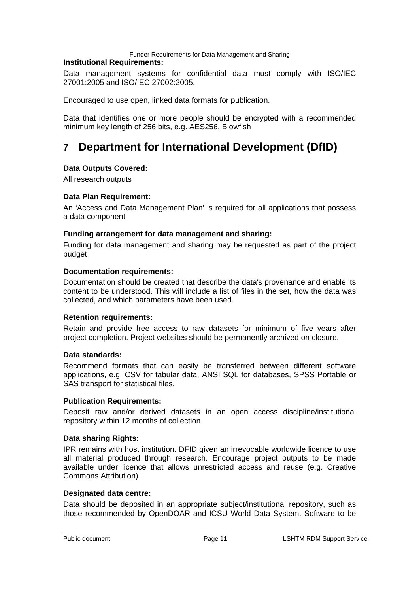#### **Institutional Requirements:**

Data management systems for confidential data must comply with ISO/IEC 27001:2005 and ISO/IEC 27002:2005.

Encouraged to use open, linked data formats for publication.

Data that identifies one or more people should be encrypted with a recommended minimum key length of 256 bits, e.g. AES256, Blowfish

# **7 Department for International Development (DfID)**

# **Data Outputs Covered:**

All research outputs

# **Data Plan Requirement:**

An 'Access and Data Management Plan' is required for all applications that possess a data component

#### **Funding arrangement for data management and sharing:**

Funding for data management and sharing may be requested as part of the project budget

#### **Documentation requirements:**

Documentation should be created that describe the data's provenance and enable its content to be understood. This will include a list of files in the set, how the data was collected, and which parameters have been used.

#### **Retention requirements:**

Retain and provide free access to raw datasets for minimum of five years after project completion. Project websites should be permanently archived on closure.

#### **Data standards:**

Recommend formats that can easily be transferred between different software applications, e.g. CSV for tabular data, ANSI SQL for databases, SPSS Portable or SAS transport for statistical files.

#### **Publication Requirements:**

Deposit raw and/or derived datasets in an open access discipline/institutional repository within 12 months of collection

#### **Data sharing Rights:**

IPR remains with host institution. DFID given an irrevocable worldwide licence to use all material produced through research. Encourage project outputs to be made available under licence that allows unrestricted access and reuse (e.g. Creative Commons Attribution)

#### **Designated data centre:**

Data should be deposited in an appropriate subject/institutional repository, such as those recommended by OpenDOAR and ICSU World Data System. Software to be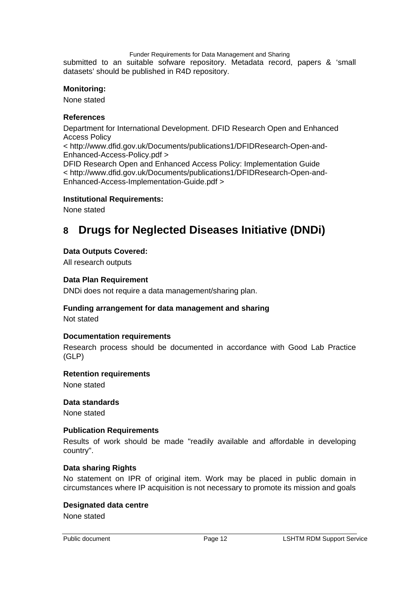Funder Requirements for Data Management and Sharing submitted to an suitable sofware repository. Metadata record, papers & 'small datasets' should be published in R4D repository.

#### **Monitoring:**

None stated

#### **References**

Department for International Development. DFID Research Open and Enhanced Access Policy

< http://www.dfid.gov.uk/Documents/publications1/DFIDResearch-Open-and-Enhanced-Access-Policy.pdf >

DFID Research Open and Enhanced Access Policy: Implementation Guide < http://www.dfid.gov.uk/Documents/publications1/DFIDResearch-Open-and-Enhanced-Access-Implementation-Guide.pdf >

#### **Institutional Requirements:**

None stated

# **8 Drugs for Neglected Diseases Initiative (DNDi)**

#### **Data Outputs Covered:**

All research outputs

#### **Data Plan Requirement**

DNDi does not require a data management/sharing plan.

#### **Funding arrangement for data management and sharing**

Not stated

#### **Documentation requirements**

Research process should be documented in accordance with Good Lab Practice (GLP)

#### **Retention requirements**

None stated

#### **Data standards**

None stated

#### **Publication Requirements**

Results of work should be made "readily available and affordable in developing country".

#### **Data sharing Rights**

No statement on IPR of original item. Work may be placed in public domain in circumstances where IP acquisition is not necessary to promote its mission and goals

#### **Designated data centre**

None stated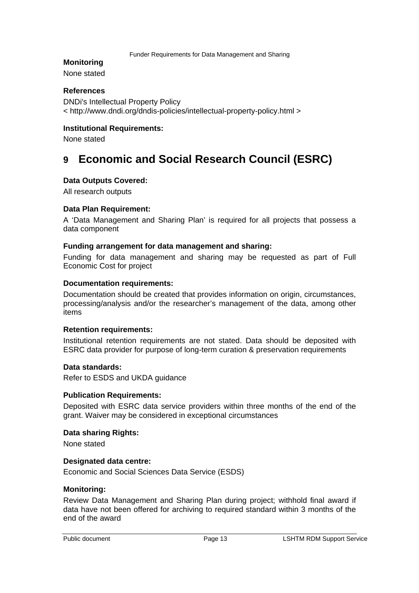#### **Monitoring**

None stated

#### **References**

DNDi's Intellectual Property Policy < http://www.dndi.org/dndis-policies/intellectual-property-policy.html >

#### **Institutional Requirements:**

None stated

# **9 Economic and Social Research Council (ESRC)**

#### **Data Outputs Covered:**

All research outputs

#### **Data Plan Requirement:**

A 'Data Management and Sharing Plan' is required for all projects that possess a data component

#### **Funding arrangement for data management and sharing:**

Funding for data management and sharing may be requested as part of Full Economic Cost for project

#### **Documentation requirements:**

Documentation should be created that provides information on origin, circumstances, processing/analysis and/or the researcher's management of the data, among other items

#### **Retention requirements:**

Institutional retention requirements are not stated. Data should be deposited with ESRC data provider for purpose of long-term curation & preservation requirements

#### **Data standards:**

Refer to ESDS and UKDA guidance

#### **Publication Requirements:**

Deposited with ESRC data service providers within three months of the end of the grant. Waiver may be considered in exceptional circumstances

#### **Data sharing Rights:**

None stated

#### **Designated data centre:**

Economic and Social Sciences Data Service (ESDS)

#### **Monitoring:**

Review Data Management and Sharing Plan during project; withhold final award if data have not been offered for archiving to required standard within 3 months of the end of the award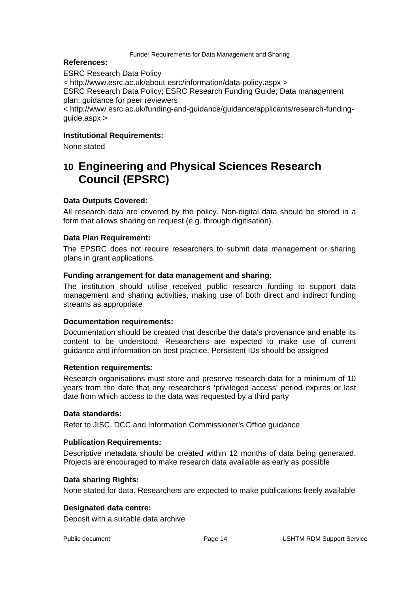#### **References:**

ESRC Research Data Policy < http://www.esrc.ac.uk/about-esrc/information/data-policy.aspx > ESRC Research Data Policy; ESRC Research Funding Guide; Data management plan: guidance for peer reviewers < http://www.esrc.ac.uk/funding-and-guidance/guidance/applicants/research-fundingguide.aspx >

### **Institutional Requirements:**

None stated

# **10 Engineering and Physical Sciences Research Council (EPSRC)**

#### **Data Outputs Covered:**

All research data are covered by the policy. Non-digital data should be stored in a form that allows sharing on request (e.g. through digitisation).

#### **Data Plan Requirement:**

The EPSRC does not require researchers to submit data management or sharing plans in grant applications.

#### **Funding arrangement for data management and sharing:**

The institution should utilise received public research funding to support data management and sharing activities, making use of both direct and indirect funding streams as appropriate

#### **Documentation requirements:**

Documentation should be created that describe the data's provenance and enable its content to be understood. Researchers are expected to make use of current guidance and information on best practice. Persistent IDs should be assigned

#### **Retention requirements:**

Research organisations must store and preserve research data for a minimum of 10 years from the date that any researcher's 'privileged access' period expires or last date from which access to the data was requested by a third party

#### **Data standards:**

Refer to JISC, DCC and Information Commissioner's Office guidance

#### **Publication Requirements:**

Descriptive metadata should be created within 12 months of data being generated. Projects are encouraged to make research data available as early as possible

#### **Data sharing Rights:**

None stated for data. Researchers are expected to make publications freely available

#### **Designated data centre:**

Deposit with a suitable data archive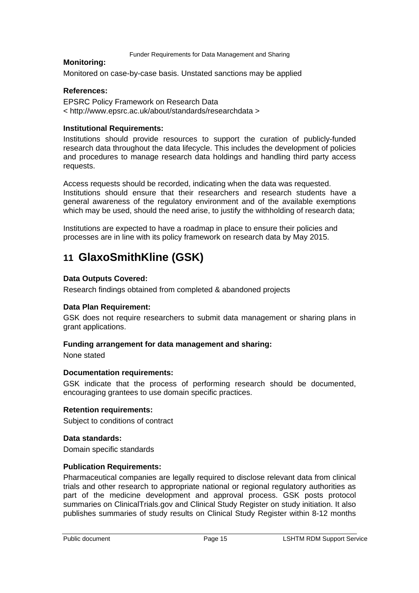#### **Monitoring:**

Monitored on case-by-case basis. Unstated sanctions may be applied

#### **References:**

EPSRC Policy Framework on Research Data < http://www.epsrc.ac.uk/about/standards/researchdata >

#### **Institutional Requirements:**

Institutions should provide resources to support the curation of publicly-funded research data throughout the data lifecycle. This includes the development of policies and procedures to manage research data holdings and handling third party access requests.

Access requests should be recorded, indicating when the data was requested. Institutions should ensure that their researchers and research students have a general awareness of the regulatory environment and of the available exemptions which may be used, should the need arise, to justify the withholding of research data;

Institutions are expected to have a roadmap in place to ensure their policies and processes are in line with its policy framework on research data by May 2015.

# **11 GlaxoSmithKline (GSK)**

#### **Data Outputs Covered:**

Research findings obtained from completed & abandoned projects

#### **Data Plan Requirement:**

GSK does not require researchers to submit data management or sharing plans in grant applications.

#### **Funding arrangement for data management and sharing:**

None stated

#### **Documentation requirements:**

GSK indicate that the process of performing research should be documented, encouraging grantees to use domain specific practices.

#### **Retention requirements:**

Subject to conditions of contract

#### **Data standards:**

Domain specific standards

#### **Publication Requirements:**

Pharmaceutical companies are legally required to disclose relevant data from clinical trials and other research to appropriate national or regional regulatory authorities as part of the medicine development and approval process. GSK posts protocol summaries on ClinicalTrials.gov and Clinical Study Register on study initiation. It also publishes summaries of study results on Clinical Study Register within 8-12 months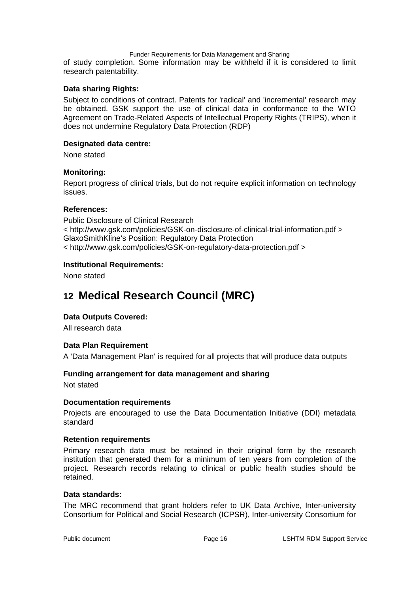of study completion. Some information may be withheld if it is considered to limit research patentability.

#### **Data sharing Rights:**

Subject to conditions of contract. Patents for 'radical' and 'incremental' research may be obtained. GSK support the use of clinical data in conformance to the WTO Agreement on Trade-Related Aspects of Intellectual Property Rights (TRIPS), when it does not undermine Regulatory Data Protection (RDP)

#### **Designated data centre:**

None stated

#### **Monitoring:**

Report progress of clinical trials, but do not require explicit information on technology issues.

#### **References:**

Public Disclosure of Clinical Research < http://www.gsk.com/policies/GSK-on-disclosure-of-clinical-trial-information.pdf > GlaxoSmithKline's Position: Regulatory Data Protection < http://www.gsk.com/policies/GSK-on-regulatory-data-protection.pdf >

#### **Institutional Requirements:**

None stated

# **12 Medical Research Council (MRC)**

# **Data Outputs Covered:**

All research data

#### **Data Plan Requirement**

A 'Data Management Plan' is required for all projects that will produce data outputs

# **Funding arrangement for data management and sharing**

Not stated

#### **Documentation requirements**

Projects are encouraged to use the Data Documentation Initiative (DDI) metadata standard

#### **Retention requirements**

Primary research data must be retained in their original form by the research institution that generated them for a minimum of ten years from completion of the project. Research records relating to clinical or public health studies should be retained.

#### **Data standards:**

The MRC recommend that grant holders refer to UK Data Archive, Inter-university Consortium for Political and Social Research (ICPSR), Inter-university Consortium for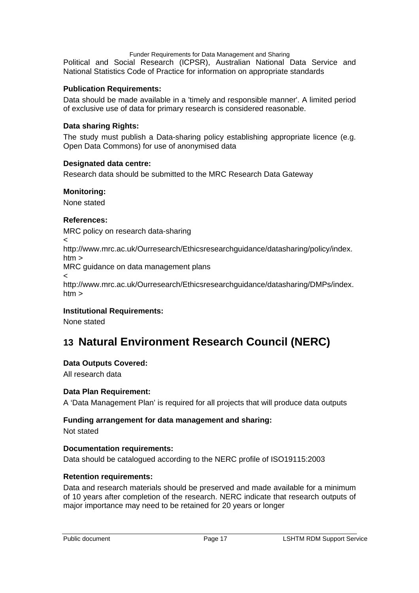Political and Social Research (ICPSR), Australian National Data Service and National Statistics Code of Practice for information on appropriate standards

# **Publication Requirements:**

Data should be made available in a 'timely and responsible manner'. A limited period of exclusive use of data for primary research is considered reasonable.

#### **Data sharing Rights:**

The study must publish a Data-sharing policy establishing appropriate licence (e.g. Open Data Commons) for use of anonymised data

#### **Designated data centre:**

Research data should be submitted to the MRC Research Data Gateway

#### **Monitoring:**

None stated

# **References:**

MRC policy on research data-sharing  $\,<\,$ http://www.mrc.ac.uk/Ourresearch/Ethicsresearchguidance/datasharing/policy/index. htm >

MRC guidance on data management plans

 $\prec$ 

http://www.mrc.ac.uk/Ourresearch/Ethicsresearchguidance/datasharing/DMPs/index. htm >

# **Institutional Requirements:**

None stated

# **13 Natural Environment Research Council (NERC)**

# **Data Outputs Covered:**

All research data

# **Data Plan Requirement:**

A 'Data Management Plan' is required for all projects that will produce data outputs

# **Funding arrangement for data management and sharing:**

Not stated

# **Documentation requirements:**

Data should be catalogued according to the NERC profile of ISO19115:2003

# **Retention requirements:**

Data and research materials should be preserved and made available for a minimum of 10 years after completion of the research. NERC indicate that research outputs of major importance may need to be retained for 20 years or longer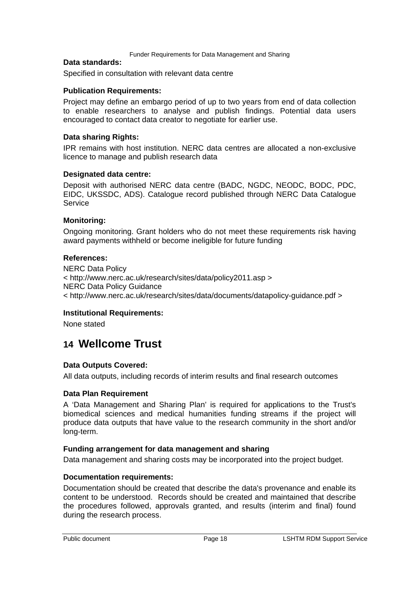#### **Data standards:**

Specified in consultation with relevant data centre

### **Publication Requirements:**

Project may define an embargo period of up to two years from end of data collection to enable researchers to analyse and publish findings. Potential data users encouraged to contact data creator to negotiate for earlier use.

### **Data sharing Rights:**

IPR remains with host institution. NERC data centres are allocated a non-exclusive licence to manage and publish research data

#### **Designated data centre:**

Deposit with authorised NERC data centre (BADC, NGDC, NEODC, BODC, PDC, EIDC, UKSSDC, ADS). Catalogue record published through NERC Data Catalogue **Service** 

#### **Monitoring:**

Ongoing monitoring. Grant holders who do not meet these requirements risk having award payments withheld or become ineligible for future funding

#### **References:**

NERC Data Policy < http://www.nerc.ac.uk/research/sites/data/policy2011.asp > NERC Data Policy Guidance < http://www.nerc.ac.uk/research/sites/data/documents/datapolicy-guidance.pdf >

#### **Institutional Requirements:**

None stated

# **14 Wellcome Trust**

# **Data Outputs Covered:**

All data outputs, including records of interim results and final research outcomes

# **Data Plan Requirement**

A 'Data Management and Sharing Plan' is required for applications to the Trust's biomedical sciences and medical humanities funding streams if the project will produce data outputs that have value to the research community in the short and/or long-term.

#### **Funding arrangement for data management and sharing**

Data management and sharing costs may be incorporated into the project budget.

# **Documentation requirements:**

Documentation should be created that describe the data's provenance and enable its content to be understood. Records should be created and maintained that describe the procedures followed, approvals granted, and results (interim and final) found during the research process.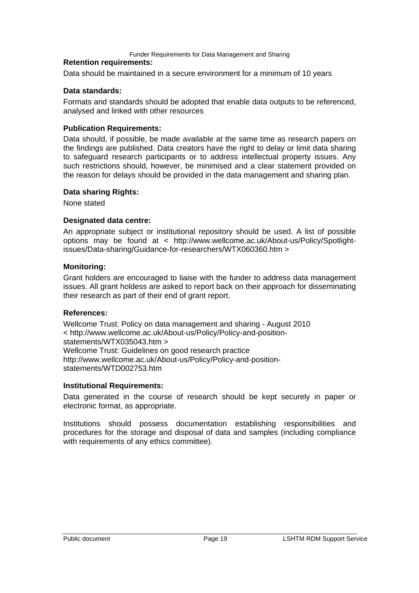#### **Retention requirements:**

Data should be maintained in a secure environment for a minimum of 10 years

#### **Data standards:**

Formats and standards should be adopted that enable data outputs to be referenced, analysed and linked with other resources

#### **Publication Requirements:**

Data should, if possible, be made available at the same time as research papers on the findings are published. Data creators have the right to delay or limit data sharing to safeguard research participants or to address intellectual property issues. Any such restrictions should, however, be minimised and a clear statement provided on the reason for delays should be provided in the data management and sharing plan.

#### **Data sharing Rights:**

None stated

### **Designated data centre:**

An appropriate subject or institutional repository should be used. A list of possible options may be found at < http://www.wellcome.ac.uk/About-us/Policy/Spotlightissues/Data-sharing/Guidance-for-researchers/WTX060360.htm >

#### **Monitoring:**

Grant holders are encouraged to liaise with the funder to address data management issues. All grant holdess are asked to report back on their approach for disseminating their research as part of their end of grant report.

#### **References:**

Wellcome Trust: Policy on data management and sharing - August 2010 < http://www.wellcome.ac.uk/About-us/Policy/Policy-and-positionstatements/WTX035043.htm > Wellcome Trust: Guidelines on good research practice http://www.wellcome.ac.uk/About-us/Policy/Policy-and-positionstatements/WTD002753.htm

#### **Institutional Requirements:**

Data generated in the course of research should be kept securely in paper or electronic format, as appropriate.

Institutions should possess documentation establishing responsibilities and procedures for the storage and disposal of data and samples (including compliance with requirements of any ethics committee).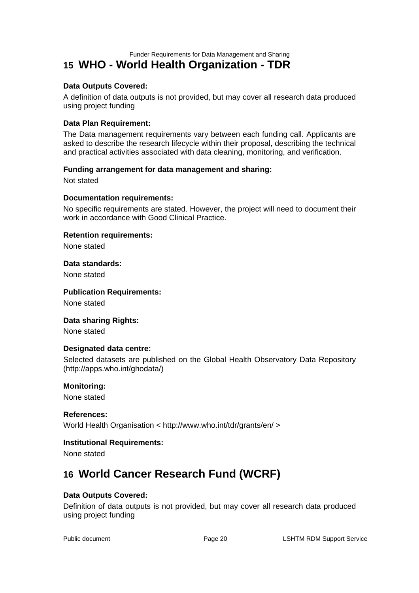# **15 WHO - World Health Organization - TDR**

#### **Data Outputs Covered:**

A definition of data outputs is not provided, but may cover all research data produced using project funding

#### **Data Plan Requirement:**

The Data management requirements vary between each funding call. Applicants are asked to describe the research lifecycle within their proposal, describing the technical and practical activities associated with data cleaning, monitoring, and verification.

#### **Funding arrangement for data management and sharing:**

Not stated

#### **Documentation requirements:**

No specific requirements are stated. However, the project will need to document their work in accordance with Good Clinical Practice.

#### **Retention requirements:**

None stated

#### **Data standards:**

None stated

#### **Publication Requirements:**

None stated

#### **Data sharing Rights:**

None stated

#### **Designated data centre:**

Selected datasets are published on the Global Health Observatory Data Repository (http://apps.who.int/ghodata/)

#### **Monitoring:**

None stated

#### **References:**

World Health Organisation < http://www.who.int/tdr/grants/en/ >

#### **Institutional Requirements:**

None stated

# **16 World Cancer Research Fund (WCRF)**

#### **Data Outputs Covered:**

Definition of data outputs is not provided, but may cover all research data produced using project funding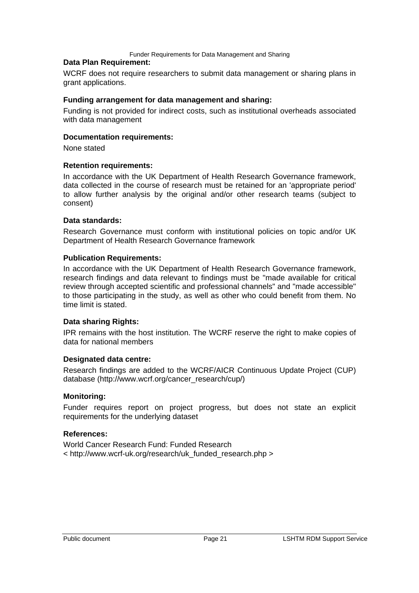#### **Data Plan Requirement:**

WCRF does not require researchers to submit data management or sharing plans in grant applications.

#### **Funding arrangement for data management and sharing:**

Funding is not provided for indirect costs, such as institutional overheads associated with data management

#### **Documentation requirements:**

None stated

#### **Retention requirements:**

In accordance with the UK Department of Health Research Governance framework, data collected in the course of research must be retained for an 'appropriate period' to allow further analysis by the original and/or other research teams (subject to consent)

#### **Data standards:**

Research Governance must conform with institutional policies on topic and/or UK Department of Health Research Governance framework

#### **Publication Requirements:**

In accordance with the UK Department of Health Research Governance framework, research findings and data relevant to findings must be "made available for critical review through accepted scientific and professional channels" and "made accessible" to those participating in the study, as well as other who could benefit from them. No time limit is stated.

#### **Data sharing Rights:**

IPR remains with the host institution. The WCRF reserve the right to make copies of data for national members

#### **Designated data centre:**

Research findings are added to the WCRF/AICR Continuous Update Project (CUP) database (http://www.wcrf.org/cancer\_research/cup/)

#### **Monitoring:**

Funder requires report on project progress, but does not state an explicit requirements for the underlying dataset

#### **References:**

World Cancer Research Fund: Funded Research < http://www.wcrf-uk.org/research/uk\_funded\_research.php >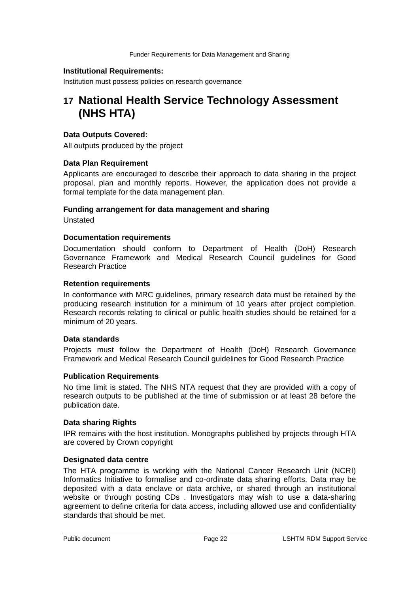#### **Institutional Requirements:**

Institution must possess policies on research governance

# **17 National Health Service Technology Assessment (NHS HTA)**

#### **Data Outputs Covered:**

All outputs produced by the project

#### **Data Plan Requirement**

Applicants are encouraged to describe their approach to data sharing in the project proposal, plan and monthly reports. However, the application does not provide a formal template for the data management plan.

#### **Funding arrangement for data management and sharing**

Unstated

#### **Documentation requirements**

Documentation should conform to Department of Health (DoH) Research Governance Framework and Medical Research Council guidelines for Good Research Practice

#### **Retention requirements**

In conformance with MRC guidelines, primary research data must be retained by the producing research institution for a minimum of 10 years after project completion. Research records relating to clinical or public health studies should be retained for a minimum of 20 years.

#### **Data standards**

Projects must follow the Department of Health (DoH) Research Governance Framework and Medical Research Council guidelines for Good Research Practice

#### **Publication Requirements**

No time limit is stated. The NHS NTA request that they are provided with a copy of research outputs to be published at the time of submission or at least 28 before the publication date.

#### **Data sharing Rights**

IPR remains with the host institution. Monographs published by projects through HTA are covered by Crown copyright

#### **Designated data centre**

The HTA programme is working with the National Cancer Research Unit (NCRI) Informatics Initiative to formalise and co-ordinate data sharing efforts. Data may be deposited with a data enclave or data archive, or shared through an institutional website or through posting CDs . Investigators may wish to use a data-sharing agreement to define criteria for data access, including allowed use and confidentiality standards that should be met.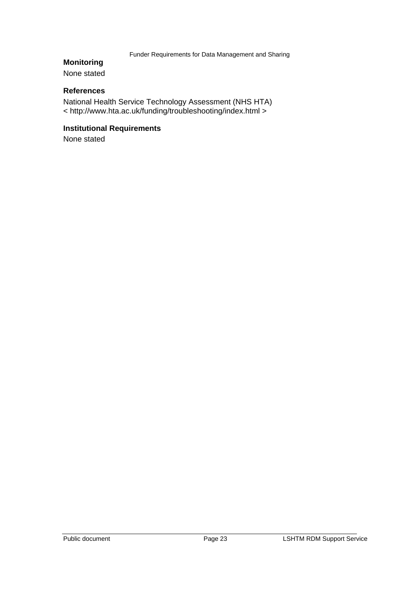# **Monitoring**

None stated

# **References**

National Health Service Technology Assessment (NHS HTA) < http://www.hta.ac.uk/funding/troubleshooting/index.html >

# **Institutional Requirements**

None stated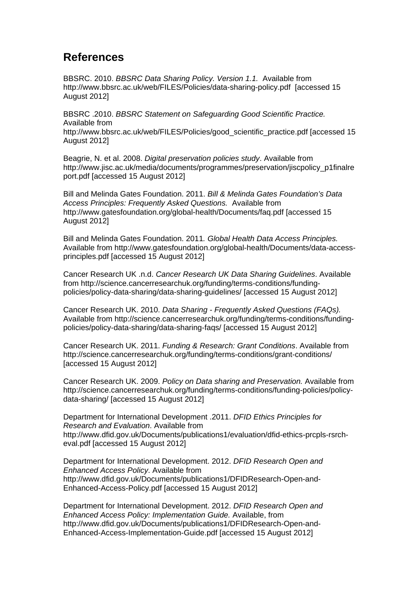# **References**

BBSRC. 2010. *BBSRC Data Sharing Policy. Version 1.1.* Available from http://www.bbsrc.ac.uk/web/FILES/Policies/data-sharing-policy.pdf [accessed 15 August 2012]

BBSRC .2010. *BBSRC Statement on Safeguarding Good Scientific Practice.* Available from http://www.bbsrc.ac.uk/web/FILES/Policies/good\_scientific\_practice.pdf [accessed 15 August 2012]

Beagrie, N. et al. 2008. *Digital preservation policies study*. Available from http://www.jisc.ac.uk/media/documents/programmes/preservation/jiscpolicy\_p1finalre port.pdf [accessed 15 August 2012]

Bill and Melinda Gates Foundation. 2011. *Bill & Melinda Gates Foundation's Data Access Principles: Frequently Asked Questions.* Available from http://www.gatesfoundation.org/global-health/Documents/faq.pdf [accessed 15 August 2012]

Bill and Melinda Gates Foundation. 2011*. Global Health Data Access Principles.* Available from http://www.gatesfoundation.org/global-health/Documents/data-accessprinciples.pdf [accessed 15 August 2012]

Cancer Research UK .n.d. *Cancer Research UK Data Sharing Guidelines*. Available from http://science.cancerresearchuk.org/funding/terms-conditions/fundingpolicies/policy-data-sharing/data-sharing-guidelines/ [accessed 15 August 2012]

Cancer Research UK. 2010. *Data Sharing - Frequently Asked Questions (FAQs).* Available from http://science.cancerresearchuk.org/funding/terms-conditions/fundingpolicies/policy-data-sharing/data-sharing-faqs/ [accessed 15 August 2012]

Cancer Research UK. 2011. *Funding & Research: Grant Conditions*. Available from http://science.cancerresearchuk.org/funding/terms-conditions/grant-conditions/ [accessed 15 August 2012]

Cancer Research UK. 2009. *Policy on Data sharing and Preservation.* Available from http://science.cancerresearchuk.org/funding/terms-conditions/funding-policies/policydata-sharing/ [accessed 15 August 2012]

Department for International Development .2011. *DFID Ethics Principles for Research and Evaluation*. Available from http://www.dfid.gov.uk/Documents/publications1/evaluation/dfid-ethics-prcpls-rsrcheval.pdf [accessed 15 August 2012]

Department for International Development. 2012. *DFID Research Open and Enhanced Access Policy*. Available from http://www.dfid.gov.uk/Documents/publications1/DFIDResearch-Open-and-Enhanced-Access-Policy.pdf [accessed 15 August 2012]

Department for International Development. 2012. *DFID Research Open and Enhanced Access Policy: Implementation Guide.* Available, from http://www.dfid.gov.uk/Documents/publications1/DFIDResearch-Open-and-Enhanced-Access-Implementation-Guide.pdf [accessed 15 August 2012]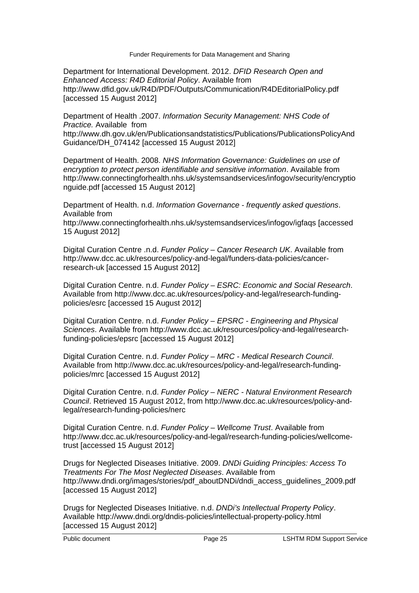Department for International Development. 2012. *DFID Research Open and Enhanced Access: R4D Editorial Policy*. Available from http://www.dfid.gov.uk/R4D/PDF/Outputs/Communication/R4DEditorialPolicy.pdf [accessed 15 August 2012]

Department of Health .2007. *Information Security Management: NHS Code of Practice.* Available from http://www.dh.gov.uk/en/Publicationsandstatistics/Publications/PublicationsPolicyAnd Guidance/DH\_074142 [accessed 15 August 2012]

Department of Health. 2008. *NHS Information Governance: Guidelines on use of encryption to protect person identifiable and sensitive information*. Available from http://www.connectingforhealth.nhs.uk/systemsandservices/infogov/security/encryptio nguide.pdf [accessed 15 August 2012]

Department of Health. n.d. *Information Governance - frequently asked questions*. Available from

http://www.connectingforhealth.nhs.uk/systemsandservices/infogov/igfaqs [accessed 15 August 2012]

Digital Curation Centre .n.d. *Funder Policy – Cancer Research UK*. Available from http://www.dcc.ac.uk/resources/policy-and-legal/funders-data-policies/cancerresearch-uk [accessed 15 August 2012]

Digital Curation Centre. n.d. *Funder Policy – ESRC: Economic and Social Research*. Available from http://www.dcc.ac.uk/resources/policy-and-legal/research-fundingpolicies/esrc [accessed 15 August 2012]

Digital Curation Centre. n.d. *Funder Policy – EPSRC - Engineering and Physical Sciences*. Available from http://www.dcc.ac.uk/resources/policy-and-legal/researchfunding-policies/epsrc [accessed 15 August 2012]

Digital Curation Centre. n.d. *Funder Policy – MRC - Medical Research Council*. Available from http://www.dcc.ac.uk/resources/policy-and-legal/research-fundingpolicies/mrc [accessed 15 August 2012]

Digital Curation Centre. n.d. *Funder Policy – NERC - Natural Environment Research Council*. Retrieved 15 August 2012, from http://www.dcc.ac.uk/resources/policy-andlegal/research-funding-policies/nerc

Digital Curation Centre. n.d. *Funder Policy – Wellcome Trust*. Available from http://www.dcc.ac.uk/resources/policy-and-legal/research-funding-policies/wellcometrust [accessed 15 August 2012]

Drugs for Neglected Diseases Initiative. 2009. *DNDi Guiding Principles: Access To Treatments For The Most Neglected Diseases*. Available from http://www.dndi.org/images/stories/pdf\_aboutDNDi/dndi\_access\_guidelines\_2009.pdf [accessed 15 August 2012]

Drugs for Neglected Diseases Initiative. n.d. *DNDi's Intellectual Property Policy*. Available http://www.dndi.org/dndis-policies/intellectual-property-policy.html [accessed 15 August 2012]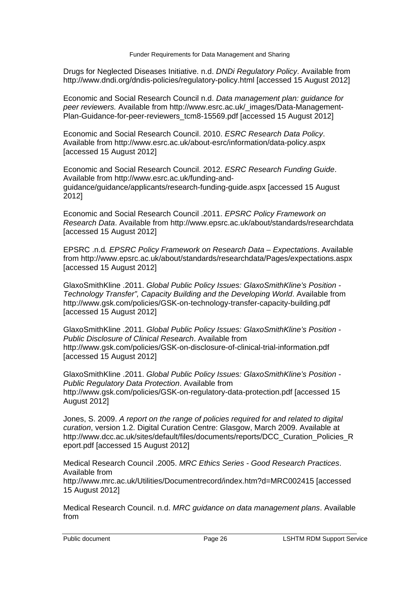Drugs for Neglected Diseases Initiative. n.d. *DNDi Regulatory Policy*. Available from http://www.dndi.org/dndis-policies/regulatory-policy.html [accessed 15 August 2012]

Economic and Social Research Council n.d. *Data management plan: guidance for peer reviewers.* Available from http://www.esrc.ac.uk/\_images/Data-Management-Plan-Guidance-for-peer-reviewers\_tcm8-15569.pdf [accessed 15 August 2012]

Economic and Social Research Council. 2010. *ESRC Research Data Policy*. Available from http://www.esrc.ac.uk/about-esrc/information/data-policy.aspx [accessed 15 August 2012]

Economic and Social Research Council. 2012. *ESRC Research Funding Guide*. Available from http://www.esrc.ac.uk/funding-andguidance/guidance/applicants/research-funding-guide.aspx [accessed 15 August 2012]

Economic and Social Research Council .2011. *EPSRC Policy Framework on Research Data*. Available from http://www.epsrc.ac.uk/about/standards/researchdata [accessed 15 August 2012]

EPSRC .n.d*. EPSRC Policy Framework on Research Data – Expectations*. Available from http://www.epsrc.ac.uk/about/standards/researchdata/Pages/expectations.aspx [accessed 15 August 2012]

GlaxoSmithKline .2011. *Global Public Policy Issues: GlaxoSmithKline's Position - Technology Transfer", Capacity Building and the Developing World*. Available from http://www.gsk.com/policies/GSK-on-technology-transfer-capacity-building.pdf [accessed 15 August 2012]

GlaxoSmithKline .2011. *Global Public Policy Issues: GlaxoSmithKline's Position - Public Disclosure of Clinical Research*. Available from http://www.gsk.com/policies/GSK-on-disclosure-of-clinical-trial-information.pdf [accessed 15 August 2012]

GlaxoSmithKline .2011. *Global Public Policy Issues: GlaxoSmithKline's Position - Public Regulatory Data Protection*. Available from http://www.gsk.com/policies/GSK-on-regulatory-data-protection.pdf [accessed 15 August 2012]

Jones, S. 2009. *A report on the range of policies required for and related to digital curation*, version 1.2. Digital Curation Centre: Glasgow, March 2009. Available at http://www.dcc.ac.uk/sites/default/files/documents/reports/DCC\_Curation\_Policies\_R eport.pdf [accessed 15 August 2012]

Medical Research Council .2005. *MRC Ethics Series - Good Research Practices*. Available from http://www.mrc.ac.uk/Utilities/Documentrecord/index.htm?d=MRC002415 [accessed 15 August 2012]

Medical Research Council. n.d. *MRC guidance on data management plans*. Available from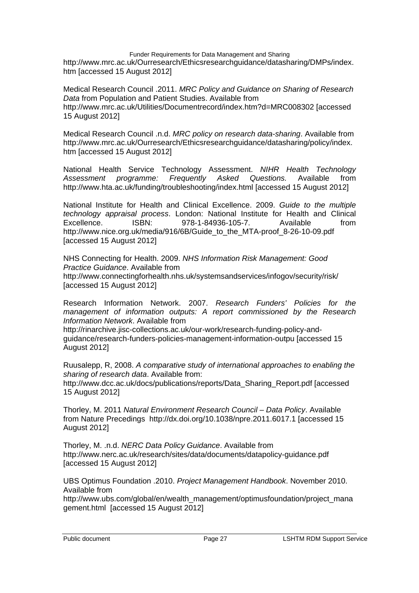Funder Requirements for Data Management and Sharing http://www.mrc.ac.uk/Ourresearch/Ethicsresearchguidance/datasharing/DMPs/index. htm [accessed 15 August 2012]

Medical Research Council .2011. *MRC Policy and Guidance on Sharing of Research Data* from Population and Patient Studies. Available from http://www.mrc.ac.uk/Utilities/Documentrecord/index.htm?d=MRC008302 [accessed 15 August 2012]

Medical Research Council .n.d. *MRC policy on research data-sharing*. Available from http://www.mrc.ac.uk/Ourresearch/Ethicsresearchguidance/datasharing/policy/index. htm [accessed 15 August 2012]

National Health Service Technology Assessment. *NIHR Health Technology Assessment programme: Frequently Asked Questions.* Available from http://www.hta.ac.uk/funding/troubleshooting/index.html [accessed 15 August 2012]

National Institute for Health and Clinical Excellence. 2009. *Guide to the multiple technology appraisal process*. London: National Institute for Health and Clinical Excellence. ISBN: 978-1-84936-105-7. Available from http://www.nice.org.uk/media/916/6B/Guide\_to\_the\_MTA-proof\_8-26-10-09.pdf [accessed 15 August 2012]

NHS Connecting for Health. 2009. *NHS Information Risk Management: Good Practice Guidance*. Available from http://www.connectingforhealth.nhs.uk/systemsandservices/infogov/security/risk/ [accessed 15 August 2012]

Research Information Network. 2007. *Research Funders' Policies for the management of information outputs: A report commissioned by the Research Information Network*. Available from

http://rinarchive.jisc-collections.ac.uk/our-work/research-funding-policy-andguidance/research-funders-policies-management-information-outpu [accessed 15 August 2012]

Ruusalepp, R, 2008. *A comparative study of international approaches to enabling the sharing of research data*. Available from:

http://www.dcc.ac.uk/docs/publications/reports/Data\_Sharing\_Report.pdf [accessed 15 August 2012]

Thorley, M. 2011 *Natural Environment Research Council – Data Policy*. Available from Nature Precedings http://dx.doi.org/10.1038/npre.2011.6017.1 [accessed 15 August 2012]

Thorley, M. .n.d. *NERC Data Policy Guidance*. Available from http://www.nerc.ac.uk/research/sites/data/documents/datapolicy-guidance.pdf [accessed 15 August 2012]

UBS Optimus Foundation .2010. *Project Management Handbook*. November 2010. Available from

http://www.ubs.com/global/en/wealth\_management/optimusfoundation/project\_mana gement.html [accessed 15 August 2012]